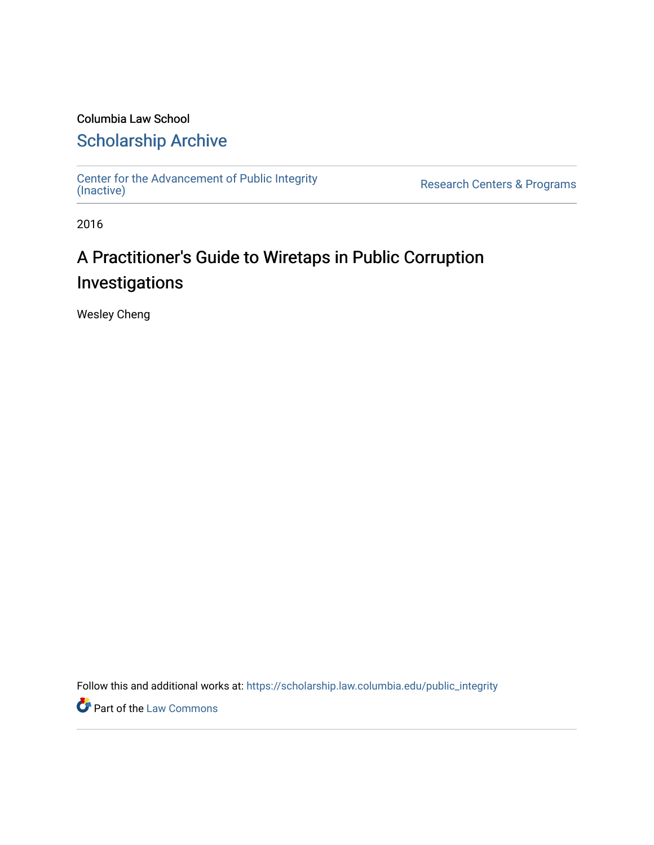# Columbia Law School

# [Scholarship Archive](https://scholarship.law.columbia.edu/)

[Center for the Advancement of Public Integrity](https://scholarship.law.columbia.edu/public_integrity)<br>(Inactive)

Research Centers & Programs

2016

# A Practitioner's Guide to Wiretaps in Public Corruption Investigations

Wesley Cheng

Follow this and additional works at: [https://scholarship.law.columbia.edu/public\\_integrity](https://scholarship.law.columbia.edu/public_integrity?utm_source=scholarship.law.columbia.edu%2Fpublic_integrity%2F80&utm_medium=PDF&utm_campaign=PDFCoverPages)

**Part of the [Law Commons](http://network.bepress.com/hgg/discipline/578?utm_source=scholarship.law.columbia.edu%2Fpublic_integrity%2F80&utm_medium=PDF&utm_campaign=PDFCoverPages)**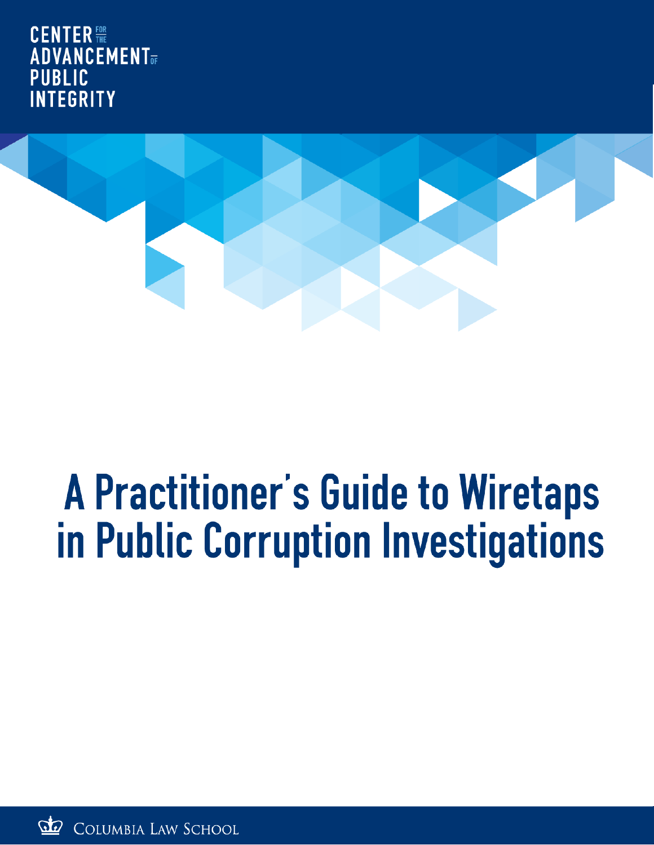CENTER FOR **ADVANCEMENT** PUBLIC **INTEGRITY** 



# **A Practitioner's Guide to Wiretaps** in Public Corruption Investigations

COLUMBIA LAW SCHOOL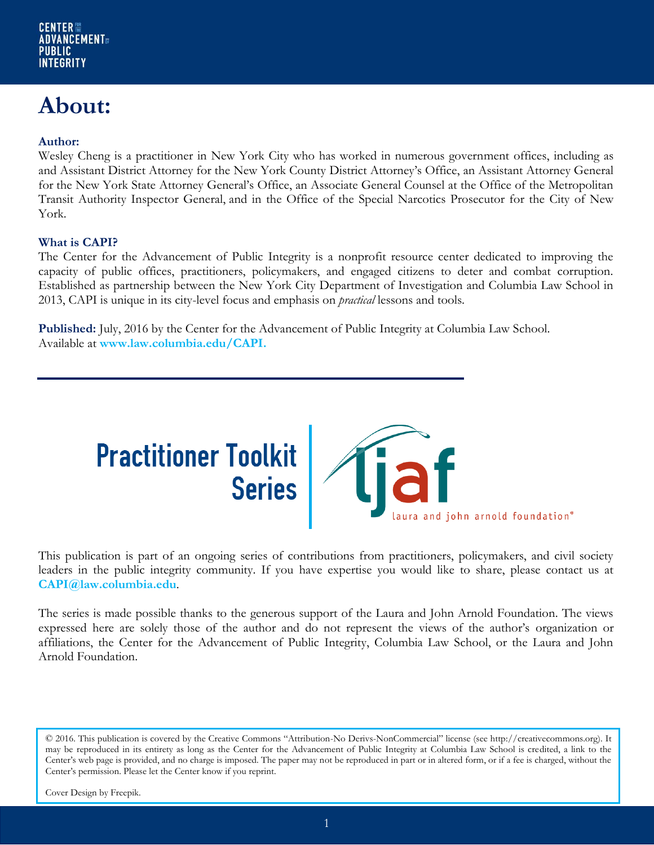# **About:**

#### **Author:**

Wesley Cheng is a practitioner in New York City who has worked in numerous government offices, including as and Assistant District Attorney for the New York County District Attorney's Office, an Assistant Attorney General for the New York State Attorney General's Office, an Associate General Counsel at the Office of the Metropolitan Transit Authority Inspector General, and in the Office of the Special Narcotics Prosecutor for the City of New York.

#### **What is CAPI?**

The Center for the Advancement of Public Integrity is a nonprofit resource center dedicated to improving the capacity of public offices, practitioners, policymakers, and engaged citizens to deter and combat corruption. Established as partnership between the New York City Department of Investigation and Columbia Law School in 2013, CAPI is unique in its city-level focus and emphasis on *practical* lessons and tools.

**Published:** July, 2016 by the Center for the Advancement of Public Integrity at Columbia Law School. Available at **www.law.columbia.edu/CAPI.** 



This publication is part of an ongoing series of contributions from practitioners, policymakers, and civil society leaders in the public integrity community. If you have expertise you would like to share, please contact us at **CAPI@law.columbia.edu**.

The series is made possible thanks to the generous support of the Laura and John Arnold Foundation. The views expressed here are solely those of the author and do not represent the views of the author's organization or affiliations, the Center for the Advancement of Public Integrity, Columbia Law School, or the Laura and John Arnold Foundation.

© 2016. This publication is covered by the Creative Commons "Attribution-No Derivs-NonCommercial" license (see http://creativecommons.org). It may be reproduced in its entirety as long as the Center for the Advancement of Public Integrity at Columbia Law School is credited, a link to the Center's web page is provided, and no charge is imposed. The paper may not be reproduced in part or in altered form, or if a fee is charged, without the Center's permission. Please let the Center know if you reprint.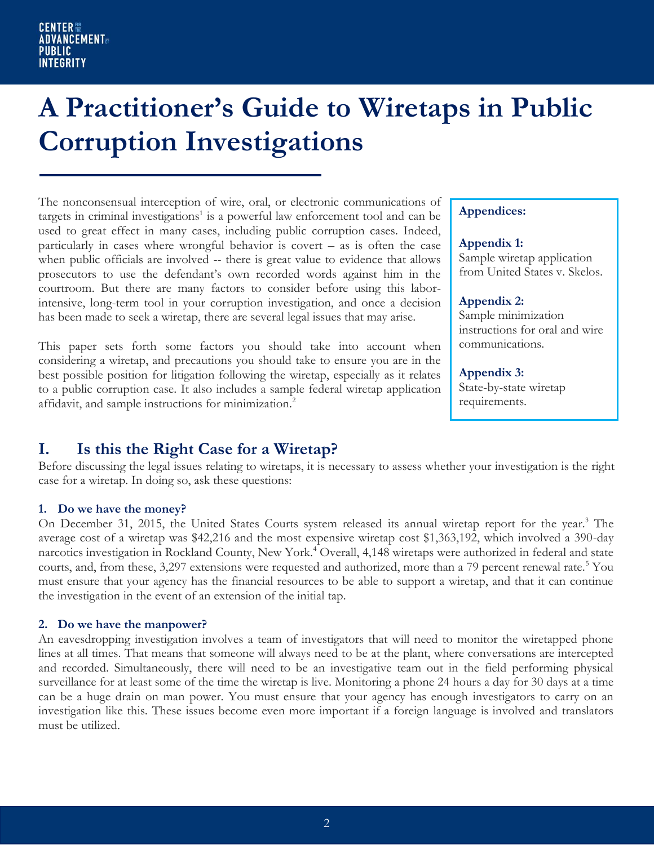# **A Practitioner's Guide to Wiretaps in Public Corruption Investigations**

The nonconsensual interception of wire, oral, or electronic communications of targets in criminal investigations<sup>1</sup> is a powerful law enforcement tool and can be used to great effect in many cases, including public corruption cases. Indeed, particularly in cases where wrongful behavior is covert – as is often the case when public officials are involved -- there is great value to evidence that allows prosecutors to use the defendant's own recorded words against him in the courtroom. But there are many factors to consider before using this laborintensive, long-term tool in your corruption investigation, and once a decision has been made to seek a wiretap, there are several legal issues that may arise.

This paper sets forth some factors you should take into account when considering a wiretap, and precautions you should take to ensure you are in the best possible position for litigation following the wiretap, especially as it relates to a public corruption case. It also includes a sample federal wiretap application affidavit, and sample instructions for minimization.<sup>2</sup>

#### **Appendices:**

#### **Appendix 1:**

Sample wiretap application from United States v. Skelos.

#### **Appendix 2:**

Sample minimization instructions for oral and wire communications.

#### **Appendix 3:**

State-by-state wiretap requirements.

### **I. Is this the Right Case for a Wiretap?**

Before discussing the legal issues relating to wiretaps, it is necessary to assess whether your investigation is the right case for a wiretap. In doing so, ask these questions:

#### **1. Do we have the money?**

On December 31, 2015, the United States Courts system released its annual wiretap report for the year.<sup>3</sup> The average cost of a wiretap was \$42,216 and the most expensive wiretap cost \$1,363,192, which involved a 390-day narcotics investigation in Rockland County, New York.<sup>4</sup> Overall, 4,148 wiretaps were authorized in federal and state courts, and, from these, 3,297 extensions were requested and authorized, more than a 79 percent renewal rate.<sup>5</sup> You must ensure that your agency has the financial resources to be able to support a wiretap, and that it can continue the investigation in the event of an extension of the initial tap.

#### **2. Do we have the manpower?**

An eavesdropping investigation involves a team of investigators that will need to monitor the wiretapped phone lines at all times. That means that someone will always need to be at the plant, where conversations are intercepted and recorded. Simultaneously, there will need to be an investigative team out in the field performing physical surveillance for at least some of the time the wiretap is live. Monitoring a phone 24 hours a day for 30 days at a time can be a huge drain on man power. You must ensure that your agency has enough investigators to carry on an investigation like this. These issues become even more important if a foreign language is involved and translators must be utilized.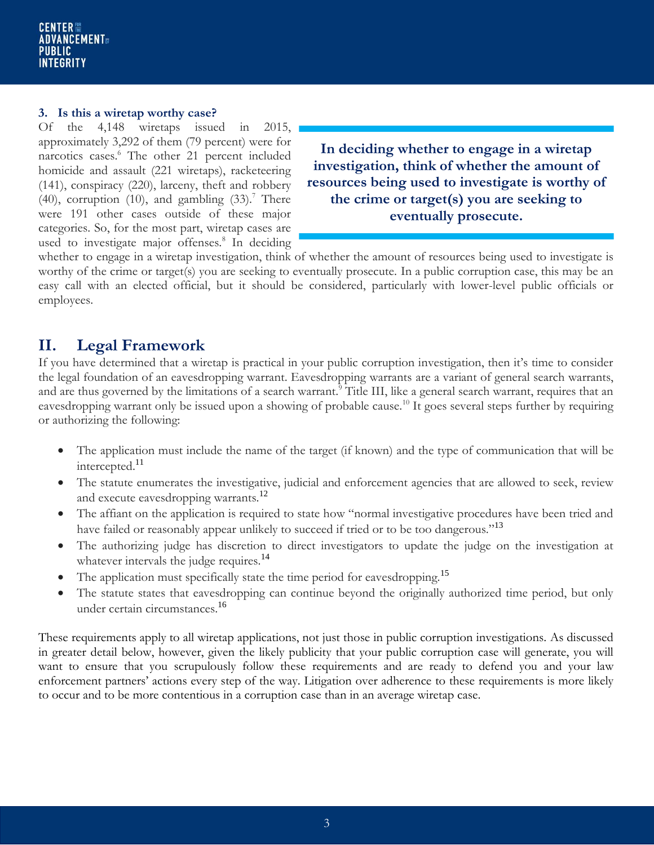#### **3. Is this a wiretap worthy case?**

Of the 4,148 wiretaps issued in 2015, approximately 3,292 of them (79 percent) were for narcotics cases.<sup>6</sup> The other 21 percent included homicide and assault (221 wiretaps), racketeering (141), conspiracy (220), larceny, theft and robbery (40), corruption (10), and gambling  $(33)$ .<sup>7</sup> There were 191 other cases outside of these major categories. So, for the most part, wiretap cases are used to investigate major offenses.<sup>8</sup> In deciding

**In deciding whether to engage in a wiretap investigation, think of whether the amount of resources being used to investigate is worthy of the crime or target(s) you are seeking to eventually prosecute.**

whether to engage in a wiretap investigation, think of whether the amount of resources being used to investigate is worthy of the crime or target(s) you are seeking to eventually prosecute. In a public corruption case, this may be an easy call with an elected official, but it should be considered, particularly with lower-level public officials or employees.

# **II. Legal Framework**

If you have determined that a wiretap is practical in your public corruption investigation, then it's time to consider the legal foundation of an eavesdropping warrant. Eavesdropping warrants are a variant of general search warrants, and are thus governed by the limitations of a search warrant.<sup>9</sup> Title III, like a general search warrant, requires that an eavesdropping warrant only be issued upon a showing of probable cause.<sup>10</sup> It goes several steps further by requiring or authorizing the following:

- The application must include the name of the target (if known) and the type of communication that will be intercepted.<sup>11</sup>
- The statute enumerates the investigative, judicial and enforcement agencies that are allowed to seek, review and execute eavesdropping warrants.<sup>12</sup>
- The affiant on the application is required to state how "normal investigative procedures have been tried and have failed or reasonably appear unlikely to succeed if tried or to be too dangerous."<sup>13</sup>
- The authorizing judge has discretion to direct investigators to update the judge on the investigation at whatever intervals the judge requires.<sup>14</sup>
- The application must specifically state the time period for eavesdropping.<sup>15</sup>
- The statute states that eavesdropping can continue beyond the originally authorized time period, but only under certain circumstances.<sup>16</sup>

These requirements apply to all wiretap applications, not just those in public corruption investigations. As discussed in greater detail below, however, given the likely publicity that your public corruption case will generate, you will want to ensure that you scrupulously follow these requirements and are ready to defend you and your law enforcement partners' actions every step of the way. Litigation over adherence to these requirements is more likely to occur and to be more contentious in a corruption case than in an average wiretap case.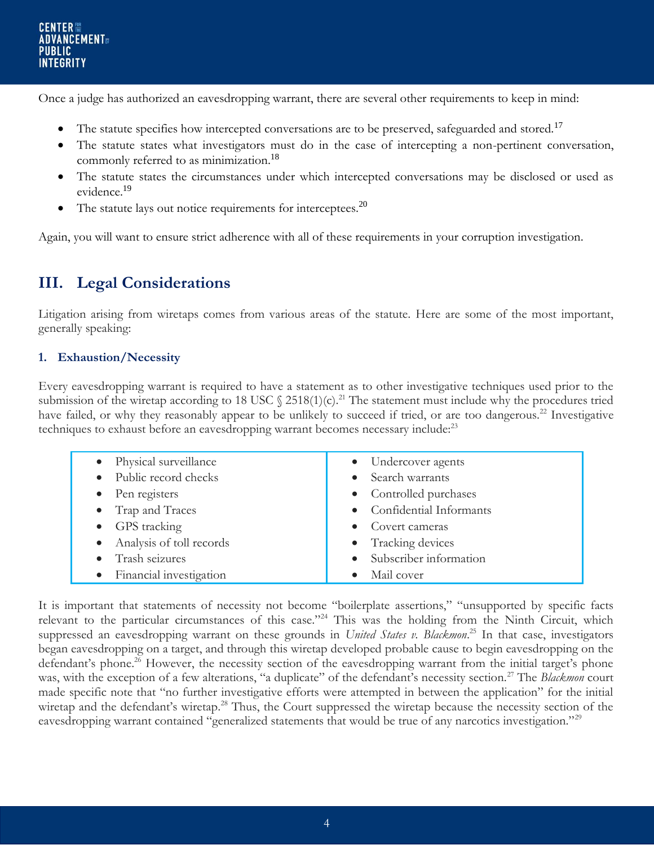Once a judge has authorized an eavesdropping warrant, there are several other requirements to keep in mind:

- The statute specifies how intercepted conversations are to be preserved, safeguarded and stored.<sup>17</sup>
- The statute states what investigators must do in the case of intercepting a non-pertinent conversation, commonly referred to as minimization.<sup>18</sup>
- The statute states the circumstances under which intercepted conversations may be disclosed or used as evidence.<sup>19</sup>
- The statute lays out notice requirements for interceptees.<sup>20</sup>

Again, you will want to ensure strict adherence with all of these requirements in your corruption investigation.

# **III. Legal Considerations**

Litigation arising from wiretaps comes from various areas of the statute. Here are some of the most important, generally speaking:

#### **1. Exhaustion/Necessity**

Every eavesdropping warrant is required to have a statement as to other investigative techniques used prior to the submission of the wiretap according to 18 USC  $\frac{2518(1)(c)^{21}}{c}$ . The statement must include why the procedures tried have failed, or why they reasonably appear to be unlikely to succeed if tried, or are too dangerous.<sup>22</sup> Investigative techniques to exhaust before an eavesdropping warrant becomes necessary include:<sup>23</sup>

| • Physical surveillance    | • Undercover agents       |
|----------------------------|---------------------------|
| • Public record checks     | • Search warrants         |
| • Pen registers            | • Controlled purchases    |
| • Trap and Traces          | • Confidential Informants |
| • GPS tracking             | • Covert cameras          |
| • Analysis of toll records | • Tracking devices        |
| • Trash seizures           | · Subscriber information  |
| • Financial investigation  | Mail cover                |

It is important that statements of necessity not become "boilerplate assertions," "unsupported by specific facts relevant to the particular circumstances of this case."<sup>24</sup> This was the holding from the Ninth Circuit, which suppressed an eavesdropping warrant on these grounds in *United States v. Blackmon*. <sup>25</sup> In that case, investigators began eavesdropping on a target, and through this wiretap developed probable cause to begin eavesdropping on the defendant's phone.<sup>26</sup> However, the necessity section of the eavesdropping warrant from the initial target's phone was, with the exception of a few alterations, "a duplicate" of the defendant's necessity section.<sup>27</sup> The *Blackmon* court made specific note that "no further investigative efforts were attempted in between the application" for the initial wiretap and the defendant's wiretap.<sup>28</sup> Thus, the Court suppressed the wiretap because the necessity section of the eavesdropping warrant contained "generalized statements that would be true of any narcotics investigation."<sup>29</sup>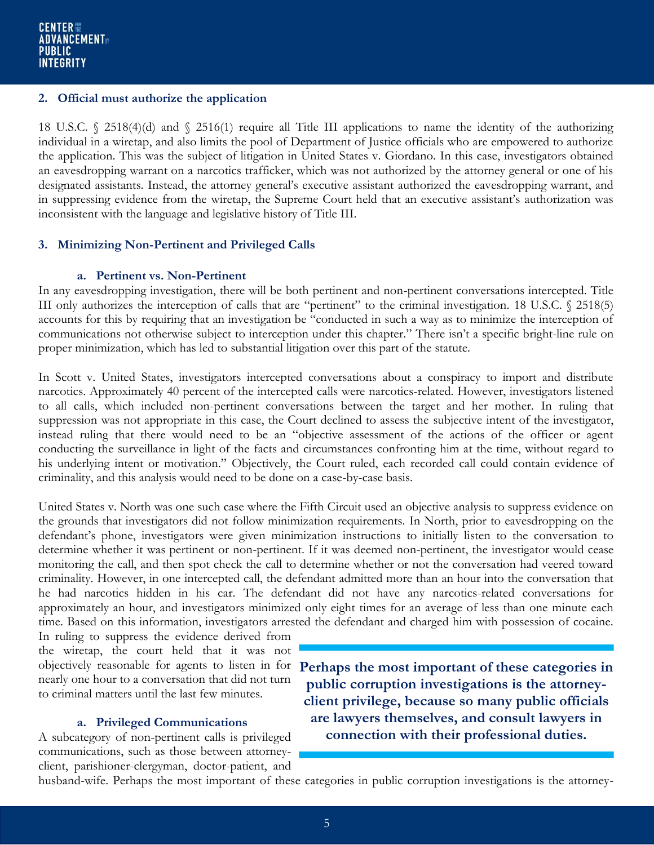#### **2. Official must authorize the application**

18 U.S.C. § 2518(4)(d) and § 2516(1) require all Title III applications to name the identity of the authorizing individual in a wiretap, and also limits the pool of Department of Justice officials who are empowered to authorize the application. This was the subject of litigation in United States v. Giordano. In this case, investigators obtained an eavesdropping warrant on a narcotics trafficker, which was not authorized by the attorney general or one of his designated assistants. Instead, the attorney general's executive assistant authorized the eavesdropping warrant, and in suppressing evidence from the wiretap, the Supreme Court held that an executive assistant's authorization was inconsistent with the language and legislative history of Title III.

#### **3. Minimizing Non-Pertinent and Privileged Calls**

#### **a. Pertinent vs. Non-Pertinent**

In any eavesdropping investigation, there will be both pertinent and non-pertinent conversations intercepted. Title III only authorizes the interception of calls that are "pertinent" to the criminal investigation. 18 U.S.C. § 2518(5) accounts for this by requiring that an investigation be "conducted in such a way as to minimize the interception of communications not otherwise subject to interception under this chapter." There isn't a specific bright-line rule on proper minimization, which has led to substantial litigation over this part of the statute.

In Scott v. United States, investigators intercepted conversations about a conspiracy to import and distribute narcotics. Approximately 40 percent of the intercepted calls were narcotics-related. However, investigators listened to all calls, which included non-pertinent conversations between the target and her mother. In ruling that suppression was not appropriate in this case, the Court declined to assess the subjective intent of the investigator, instead ruling that there would need to be an "objective assessment of the actions of the officer or agent conducting the surveillance in light of the facts and circumstances confronting him at the time, without regard to his underlying intent or motivation." Objectively, the Court ruled, each recorded call could contain evidence of criminality, and this analysis would need to be done on a case-by-case basis.

United States v. North was one such case where the Fifth Circuit used an objective analysis to suppress evidence on the grounds that investigators did not follow minimization requirements. In North, prior to eavesdropping on the defendant's phone, investigators were given minimization instructions to initially listen to the conversation to determine whether it was pertinent or non-pertinent. If it was deemed non-pertinent, the investigator would cease monitoring the call, and then spot check the call to determine whether or not the conversation had veered toward criminality. However, in one intercepted call, the defendant admitted more than an hour into the conversation that he had narcotics hidden in his car. The defendant did not have any narcotics-related conversations for approximately an hour, and investigators minimized only eight times for an average of less than one minute each time. Based on this information, investigators arrested the defendant and charged him with possession of cocaine.

In ruling to suppress the evidence derived from the wiretap, the court held that it was not nearly one hour to a conversation that did not turn to criminal matters until the last few minutes.

#### **a. Privileged Communications**

A subcategory of non-pertinent calls is privileged communications, such as those between attorneyclient, parishioner-clergyman, doctor-patient, and

objectively reasonable for agents to listen in for **Perhaps the most important of these categories in public corruption investigations is the attorneyclient privilege, because so many public officials are lawyers themselves, and consult lawyers in connection with their professional duties.**

husband-wife. Perhaps the most important of these categories in public corruption investigations is the attorney-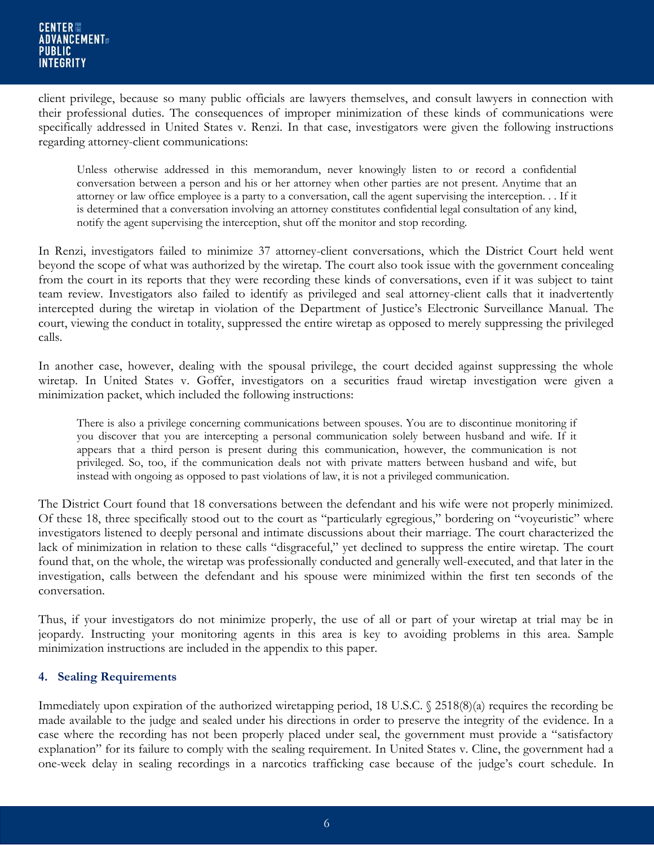client privilege, because so many public officials are lawyers themselves, and consult lawyers in connection with their professional duties. The consequences of improper minimization of these kinds of communications were specifically addressed in United States v. Renzi. In that case, investigators were given the following instructions regarding attorney-client communications:

Unless otherwise addressed in this memorandum, never knowingly listen to or record a confidential conversation between a person and his or her attorney when other parties are not present. Anytime that an attorney or law office employee is a party to a conversation, call the agent supervising the interception. . . If it is determined that a conversation involving an attorney constitutes confidential legal consultation of any kind, notify the agent supervising the interception, shut off the monitor and stop recording.

In Renzi, investigators failed to minimize 37 attorney-client conversations, which the District Court held went beyond the scope of what was authorized by the wiretap. The court also took issue with the government concealing from the court in its reports that they were recording these kinds of conversations, even if it was subject to taint team review. Investigators also failed to identify as privileged and seal attorney-client calls that it inadvertently intercepted during the wiretap in violation of the Department of Justice's Electronic Surveillance Manual. The court, viewing the conduct in totality, suppressed the entire wiretap as opposed to merely suppressing the privileged calls.

In another case, however, dealing with the spousal privilege, the court decided against suppressing the whole wiretap. In United States v. Goffer, investigators on a securities fraud wiretap investigation were given a minimization packet, which included the following instructions:

There is also a privilege concerning communications between spouses. You are to discontinue monitoring if you discover that you are intercepting a personal communication solely between husband and wife. If it appears that a third person is present during this communication, however, the communication is not privileged. So, too, if the communication deals not with private matters between husband and wife, but instead with ongoing as opposed to past violations of law, it is not a privileged communication.

The District Court found that 18 conversations between the defendant and his wife were not properly minimized. Of these 18, three specifically stood out to the court as "particularly egregious," bordering on "voyeuristic" where investigators listened to deeply personal and intimate discussions about their marriage. The court characterized the lack of minimization in relation to these calls "disgraceful," yet declined to suppress the entire wiretap. The court found that, on the whole, the wiretap was professionally conducted and generally well-executed, and that later in the investigation, calls between the defendant and his spouse were minimized within the first ten seconds of the conversation.

Thus, if your investigators do not minimize properly, the use of all or part of your wiretap at trial may be in jeopardy. Instructing your monitoring agents in this area is key to avoiding problems in this area. Sample minimization instructions are included in the appendix to this paper.

#### **4. Sealing Requirements**

Immediately upon expiration of the authorized wiretapping period, 18 U.S.C.  $\sqrt{2518(8)}$  requires the recording be made available to the judge and sealed under his directions in order to preserve the integrity of the evidence. In a case where the recording has not been properly placed under seal, the government must provide a "satisfactory explanation" for its failure to comply with the sealing requirement. In United States v. Cline, the government had a one-week delay in sealing recordings in a narcotics trafficking case because of the judge's court schedule. In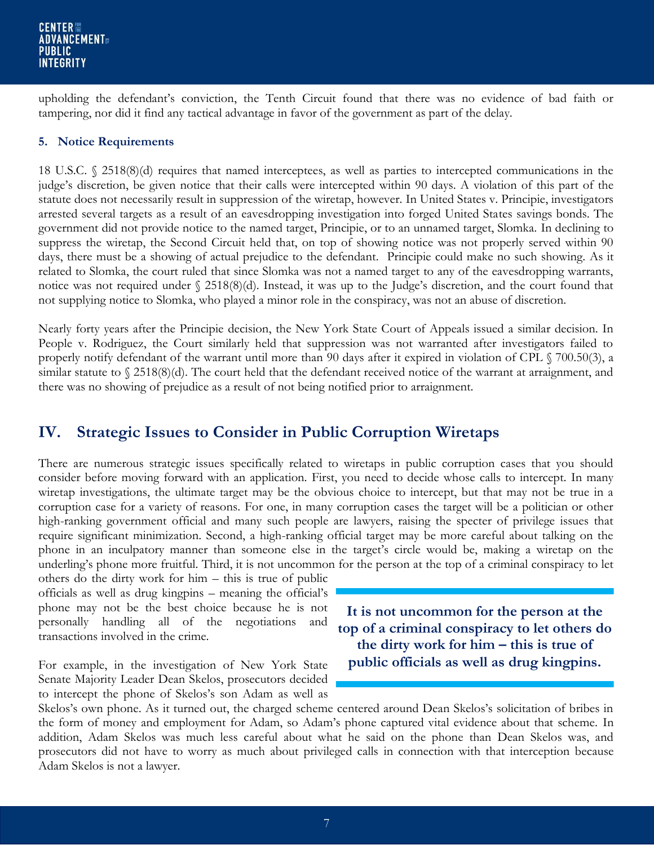upholding the defendant's conviction, the Tenth Circuit found that there was no evidence of bad faith or tampering, nor did it find any tactical advantage in favor of the government as part of the delay.

#### **5. Notice Requirements**

18 U.S.C. § 2518(8)(d) requires that named interceptees, as well as parties to intercepted communications in the judge's discretion, be given notice that their calls were intercepted within 90 days. A violation of this part of the statute does not necessarily result in suppression of the wiretap, however. In United States v. Principie, investigators arrested several targets as a result of an eavesdropping investigation into forged United States savings bonds. The government did not provide notice to the named target, Principie, or to an unnamed target, Slomka. In declining to suppress the wiretap, the Second Circuit held that, on top of showing notice was not properly served within 90 days, there must be a showing of actual prejudice to the defendant. Principie could make no such showing. As it related to Slomka, the court ruled that since Slomka was not a named target to any of the eavesdropping warrants, notice was not required under § 2518(8)(d). Instead, it was up to the Judge's discretion, and the court found that not supplying notice to Slomka, who played a minor role in the conspiracy, was not an abuse of discretion.

Nearly forty years after the Principie decision, the New York State Court of Appeals issued a similar decision. In People v. Rodriguez, the Court similarly held that suppression was not warranted after investigators failed to properly notify defendant of the warrant until more than 90 days after it expired in violation of CPL § 700.50(3), a similar statute to § 2518(8)(d). The court held that the defendant received notice of the warrant at arraignment, and there was no showing of prejudice as a result of not being notified prior to arraignment.

### **IV. Strategic Issues to Consider in Public Corruption Wiretaps**

There are numerous strategic issues specifically related to wiretaps in public corruption cases that you should consider before moving forward with an application. First, you need to decide whose calls to intercept. In many wiretap investigations, the ultimate target may be the obvious choice to intercept, but that may not be true in a corruption case for a variety of reasons. For one, in many corruption cases the target will be a politician or other high-ranking government official and many such people are lawyers, raising the specter of privilege issues that require significant minimization. Second, a high-ranking official target may be more careful about talking on the phone in an inculpatory manner than someone else in the target's circle would be, making a wiretap on the underling's phone more fruitful. Third, it is not uncommon for the person at the top of a criminal conspiracy to let

others do the dirty work for him – this is true of public officials as well as drug kingpins – meaning the official's phone may not be the best choice because he is not personally handling all of the negotiations and transactions involved in the crime.

For example, in the investigation of New York State Senate Majority Leader Dean Skelos, prosecutors decided to intercept the phone of Skelos's son Adam as well as

**It is not uncommon for the person at the top of a criminal conspiracy to let others do the dirty work for him – this is true of public officials as well as drug kingpins.**

Skelos's own phone. As it turned out, the charged scheme centered around Dean Skelos's solicitation of bribes in the form of money and employment for Adam, so Adam's phone captured vital evidence about that scheme. In addition, Adam Skelos was much less careful about what he said on the phone than Dean Skelos was, and prosecutors did not have to worry as much about privileged calls in connection with that interception because Adam Skelos is not a lawyer.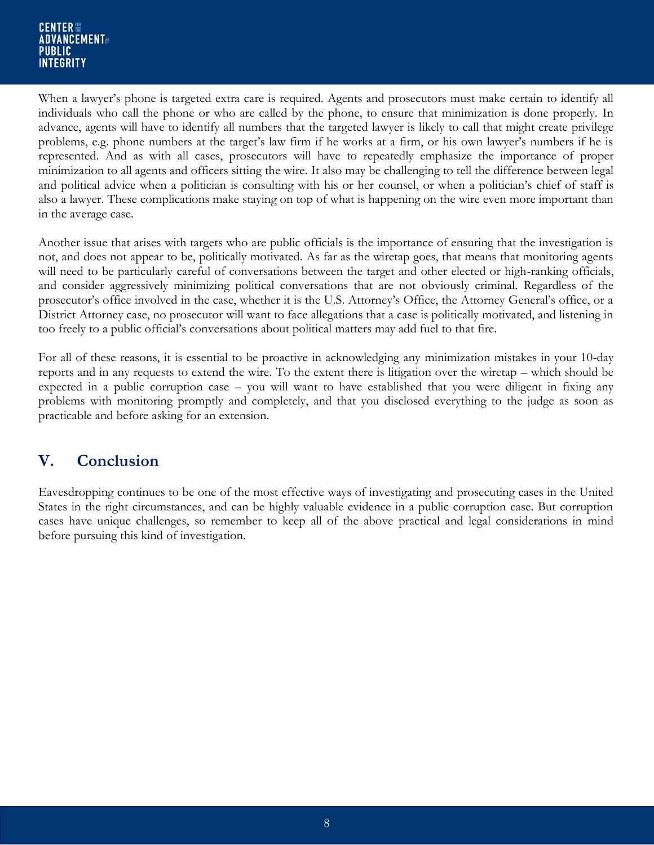When a lawyer's phone is targeted extra care is required. Agents and prosecutors must make certain to identify all individuals who call the phone or who are called by the phone, to ensure that minimization is done properly. In advance, agents will have to identify all numbers that the targeted lawyer is likely to call that might create privilege problems, e.g. phone numbers at the target's law firm if he works at a firm, or his own lawyer's numbers if he is represented. And as with all cases, prosecutors will have to repeatedly emphasize the importance of proper minimization to all agents and officers sitting the wire. It also may be challenging to tell the difference between legal and political advice when a politician is consulting with his or her counsel, or when a politician's chief of staff is also a lawyer. These complications make staying on top of what is happening on the wire even more important than in the average case.

Another issue that arises with targets who are public officials is the importance of ensuring that the investigation is not, and does not appear to be, politically motivated. As far as the wiretap goes, that means that monitoring agents will need to be particularly careful of conversations between the target and other elected or high-ranking officials, and consider aggressively minimizing political conversations that are not obviously criminal. Regardless of the prosecutor's office involved in the case, whether it is the U.S. Attorney's Office, the Attorney General's office, or a District Attorney case, no prosecutor will want to face allegations that a case is politically motivated, and listening in too freely to a public official's conversations about political matters may add fuel to that fire.

For all of these reasons, it is essential to be proactive in acknowledging any minimization mistakes in your 10-day reports and in any requests to extend the wire. To the extent there is litigation over the wiretap – which should be expected in a public corruption case – you will want to have established that you were diligent in fixing any problems with monitoring promptly and completely, and that you disclosed everything to the judge as soon as practicable and before asking for an extension.

## **V. Conclusion**

Eavesdropping continues to be one of the most effective ways of investigating and prosecuting cases in the United States in the right circumstances, and can be highly valuable evidence in a public corruption case. But corruption cases have unique challenges, so remember to keep all of the above practical and legal considerations in mind before pursuing this kind of investigation.